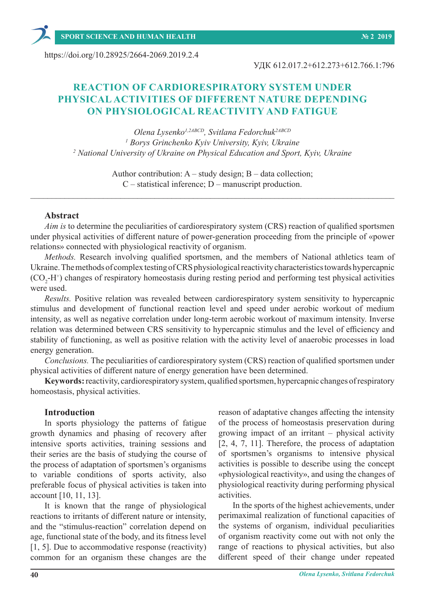УДК 612.017.2+612.273+612.766.1:796

# **REACTION OF CARDIORESPIRATORY SYSTEM UNDER PHYSICAL ACTIVITIES OF DIFFERENT NATURE DEPENDING ON PHYSIOLOGICAL REACTIVITY AND FATIGUE**

*Olena Lysenko1,2АBCD, Svitlana Fedorchuk2АBCD 1 Borys Grinchenko Kyiv University, Kyiv, Ukraine <sup>2</sup> National University of Ukraine on Physical Education and Sport, Kyiv, Ukraine*

> Author contribution: A – study design; B – data collection; C – statistical inference; D – manuscript production.

 $\_$  , and the set of the set of the set of the set of the set of the set of the set of the set of the set of the set of the set of the set of the set of the set of the set of the set of the set of the set of the set of th

# **Abstract**

*Aim is* to determine the peculiarities of cardiorespiratory system (CRS) reaction of qualified sportsmen under physical activities of different nature of power-generation proceeding from the principle of «power relations» connected with physiological reactivity of organism.

*Methods.* Research involving qualified sportsmen, and the members of National athletics team of Ukraine. The methods of complex testing of CRS physiological reactivity characteristics towards hypercapnic (CO<sub>2</sub>-H<sup>+</sup>) changes of respiratory homeostasis during resting period and performing test physical activities were used.

*Results.* Positive relation was revealed between cardiorespiratory system sensitivity to hypercapnic stimulus and development of functional reaction level and speed under aerobic workout of medium intensity, as well as negative correlation under long-term aerobic workout of maximum intensity. Inverse relation was determined between CRS sensitivity to hypercapnic stimulus and the level of efficiency and stability of functioning, as well as positive relation with the activity level of anaerobic processes in load energy generation.

*Conclusions.* The peculiarities of cardiorespiratory system (CRS) reaction of qualified sportsmen under physical activities of different nature of energy generation have been determined.

**Keywords:** reactivity, cardiorespiratory system, qualified sportsmen, hypercapnic changes of respiratory homeostasis, physical activities.

#### **Introduction**

In sports physiology the patterns of fatigue growth dynamics and phasing of recovery after intensive sports activities, training sessions and their series are the basis of studying the course of the process of adaptation of sportsmen's organisms to variable conditions of sports activity, also preferable focus of physical activities is taken into account [10, 11, 13].

It is known that the range of physiological reactions to irritants of different nature or intensity, and the "stimulus-reaction" correlation depend on age, functional state of the body, and its fitness level [1, 5]. Due to accommodative response (reactivity) common for an organism these changes are the reason of adaptative changes affecting the intensity of the process of homeostasis preservation during growing impact of an irritant – physical activity [2, 4, 7, 11]. Therefore, the process of adaptation of sportsmen's organisms to intensive physical activities is possible to describe using the concept «physiological reactivity», and using the changes of physiological reactivity during performing physical activities.

In the sports of the highest achievements, under perimaximal realization of functional capacities of the systems of organism, individual peculiarities of organism reactivity come out with not only the range of reactions to physical activities, but also different speed of their change under repeated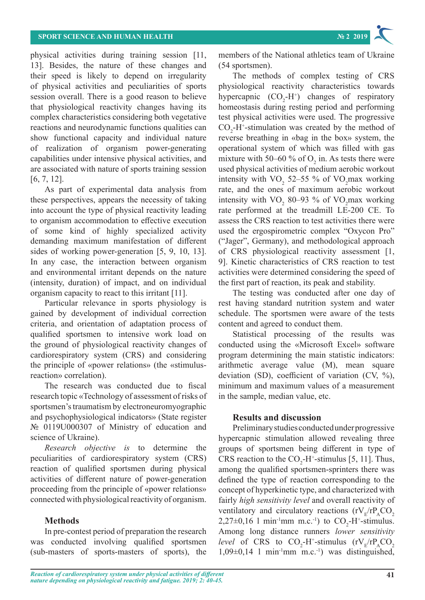physical activities during training session [11, 13]. Besides, the nature of these changes and their speed is likely to depend on irregularity of physical activities and peculiarities of sports session overall. There is a good reason to believe that physiological reactivity changes having its complex characteristics considering both vegetative reactions and neurodynamic functions qualities can show functional capacity and individual nature of realization of organism power-generating capabilities under intensive physical activities, and are associated with nature of sports training session [6, 7, 12].

As part of experimental data analysis from these perspectives, appears the necessity of taking into account the type of physical reactivity leading to organism accommodation to effective execution of some kind of highly specialized activity demanding maximum manifestation of different sides of working power-generation [5, 9, 10, 13]. In any case, the interaction between organism and environmental irritant depends on the nature (intensity, duration) of impact, and on individual organism capacity to react to this irritant [11].

Particular relevance in sports physiology is gained by development of individual correction criteria, and orientation of adaptation process of qualified sportsmen to intensive work load on the ground of physiological reactivity changes of cardiorespiratory system (CRS) and considering the principle of «power relations» (the «stimulusreaction» correlation).

The research was conducted due to fiscal research topic «Technology of assessment of risks of sportsmen's traumatism by electroneuromyographic and psychophysiological indicators» (State register № 0119U000307 of Ministry of education and science of Ukraine).

*Research objective is* to determine the peculiarities of cardiorespiratory system (CRS) reaction of qualified sportsmen during physical activities of different nature of power-generation proceeding from the principle of «power relations» connected with physiological reactivity of organism.

# **Methods**

In pre-contest period of preparation the research was conducted involving qualified sportsmen (sub-masters of sports-masters of sports), the members of the National athletics team of Ukraine (54 sportsmen).

The methods of complex testing of CRS physiological reactivity characteristics towards hypercapnic  $(CO_2-H^+)$  changes of respiratory homeostasis during resting period and performing test physical activities were used. The progressive  $CO<sub>2</sub>$ -H<sup>+</sup>-stimulation was created by the method of reverse breathing in «bag in the box» system, the operational system of which was filled with gas mixture with 50–60 % of  $O_2$  in. As tests there were used physical activities of medium aerobic workout intensity with  $VO_2$  52–55 % of  $VO_2$  max working rate, and the ones of maximum aerobic workout intensity with  $VO_2$  80–93 % of  $VO_2$  max working rate performed at the treadmill LЕ-200 СE. To assess the CRS reaction to test activities there were used the ergospirometric complex "Oxycon Pro" ("Jager", Germany), and methodological approach of CRS physiological reactivity assessment [1, 9]. Kinetic characteristics of CRS reaction to test activities were determined considering the speed of the first part of reaction, its peak and stability.

The testing was conducted after one day of rest having standard nutrition system and water schedule. The sportsmen were aware of the tests content and agreed to conduct them.

Statistical processing of the results was conducted using the «Microsoft Excel» software program determining the main statistic indicators: arithmetic average value (M), mean square deviation (SD), coefficient of variation (CV, %), minimum and maximum values of a measurement in the sample, median value, etc.

# **Results and discussion**

Preliminary studies conducted under progressive hypercapnic stimulation allowed revealing three groups of sportsmen being different in type of CRS reaction to the  $CO_2$ -H<sup>+</sup>-stimulus [5, 11]. Thus, among the qualified sportsmen-sprinters there was defined the type of reaction corresponding to the concept of hyperkinetic type, and characterized with fairly *high sensitivity level* and overall reactivity of ventilatory and circulatory reactions  $(rV_r/rP_sCO_2)$  $2,27\pm0,16$  1 min<sup>-1</sup>mm m.c.<sup>-1</sup>) to  $CO_2$ -H<sup>+</sup>-stimulus. Among long distance runners *lower sensitivity level* of CRS to  $CO_2$ -H<sup>+</sup>-stimulus (rV<sub>E</sub>/rP<sub>A</sub>CO<sub>2</sub>  $1,09\pm0,14$  l min<sup>-1</sup>mm m.c.<sup>-1</sup>) was distinguished,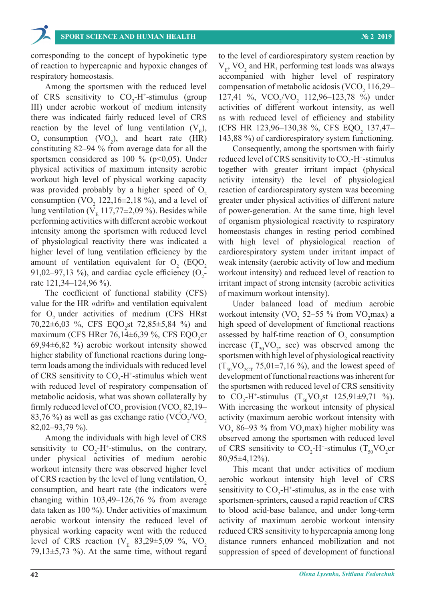corresponding to the concept of hypokinetic type of reaction to hypercapnic and hypoxic changes of respiratory homeostasis.

Among the sportsmen with the reduced level of CRS sensitivity to  $CO<sub>2</sub>-H<sup>+</sup>$ -stimulus (group III) under aerobic workout of medium intensity there was indicated fairly reduced level of CRS reaction by the level of lung ventilation  $(V<sub>r</sub>)$ ,  $O_2$  consumption (VO<sub>2</sub>), and heart rate (HR) constituting 82–94 % from average data for all the sportsmen considered as 100 % ( $p<0,05$ ). Under physical activities of maximum intensity aerobic workout high level of physical working capacity was provided probably by a higher speed of  $O<sub>2</sub>$ consumption (VO<sub>2</sub> 122,16 $\pm$ 2,18 %), and a level of lung ventilation ( $V<sub>E</sub>$  117,77±2,09 %). Besides while performing activities with different aerobic workout intensity among the sportsmen with reduced level of physiological reactivity there was indicated a higher level of lung ventilation efficiency by the amount of ventilation equivalent for  $O_2$  (EQO<sub>2</sub> 91,02–97,13 %), and cardiac cycle efficiency  $(O_2$ rate 121,34–124,96 %).

The coefficient of functional stability (CFS) value for the HR «drift» and ventilation equivalent for  $O<sub>2</sub>$  under activities of medium (CFS HRst 70,22 $\pm$ 6,03 %, CFS EQO<sub>2</sub>st 72,85 $\pm$ 5,84 %) and maximum (CFS HRcr 76,14 $\pm$ 6,39 %, CFS EQO<sub>2</sub>cr 69,94±6,82 %) aerobic workout intensity showed higher stability of functional reactions during longterm loads among the individuals with reduced level of CRS sensitivity to  $CO_2$ -H<sup>+</sup>-stimulus which went with reduced level of respiratory compensation of metabolic acidosis, what was shown collaterally by firmly reduced level of CO<sub>2</sub> provision (VCO<sub>2</sub> 82,19– 83,76 %) as well as gas exchange ratio (VCO<sub>2</sub>/VO<sub>2</sub> 82,02–93,79 %).

Among the individuals with high level of CRS sensitivity to  $CO_2-H^+$ -stimulus, on the contrary, under physical activities of medium aerobic workout intensity there was observed higher level of CRS reaction by the level of lung ventilation,  $O<sub>2</sub>$ consumption, and heart rate (the indicators were changing within 103,49–126,76 % from average data taken as 100 %). Under activities of maximum aerobic workout intensity the reduced level of physical working capacity went with the reduced level of CRS reaction ( $V_E$  83,29±5,09 %, VO<sub>2</sub> 79,13 $\pm$ 5,73 %). At the same time, without regard

to the level of cardiorespiratory system reaction by  $V_{E}$ , VO<sub>2</sub> and HR, performing test loads was always accompanied with higher level of respiratory compensation of metabolic acidosis (VCO<sub>2</sub> 116,29– 127,41 %,  $VCO_2/VO_2$  112,96–123,78 %) under activities of different workout intensity, as well as with reduced level of efficiency and stability (CFS HR 123,96-130,38 %, CFS EQO<sub>2</sub> 137,47-143,88 %) of cardiorespiratory system functioning.

Consequently, among the sportsmen with fairly reduced level of CRS sensitivity to  $CO_2$ -H<sup>+</sup>-stimulus together with greater irritant impact (physical activity intensity) the level of physiological reaction of cardiorespiratory system was becoming greater under physical activities of different nature of power-generation. At the same time, high level of organism physiological reactivity to respiratory homeostasis changes in resting period combined with high level of physiological reaction of cardiorespiratory system under irritant impact of weak intensity (aerobic activity of low and medium workout intensity) and reduced level of reaction to irritant impact of strong intensity (aerobic activities of maximum workout intensity).

Under balanced load of medium aerobic workout intensity (VO<sub>2</sub> 52–55 % from VO<sub>2</sub>max) a high speed of development of functional reactions assessed by half-time reaction of  $O_2$  consumption increase  $(T_{50}VO_2, \text{ sec})$  was observed among the sportsmen with high level of physiological reactivity  $(T_{50}VO_{2CT} 75,01\pm7,16 \%)$ , and the lowest speed of development of functional reactions was inherent for the sportsmen with reduced level of CRS sensitivity to  $CO_2$ -H<sup>+</sup>-stimulus  $(T_{50}VO_2st 125,91\pm9,71\%)$ . With increasing the workout intensity of physical activity (maximum aerobic workout intensity with VO<sub>2</sub> 86–93 % from VO<sub>2</sub>max) higher mobility was observed among the sportsmen with reduced level of CRS sensitivity to  $CO_2-H^+$ -stimulus  $(T_{50}VO_2cr)$ 80,95±4,12%).

This meant that under activities of medium aerobic workout intensity high level of CRS sensitivity to  $CO_2$ -H<sup>+</sup>-stimulus, as in the case with sportsmen-sprinters, caused a rapid reaction of CRS to blood acid-base balance, and under long-term activity of maximum aerobic workout intensity reduced CRS sensitivity to hypercapnia among long distance runners enhanced mobilization and not suppression of speed of development of functional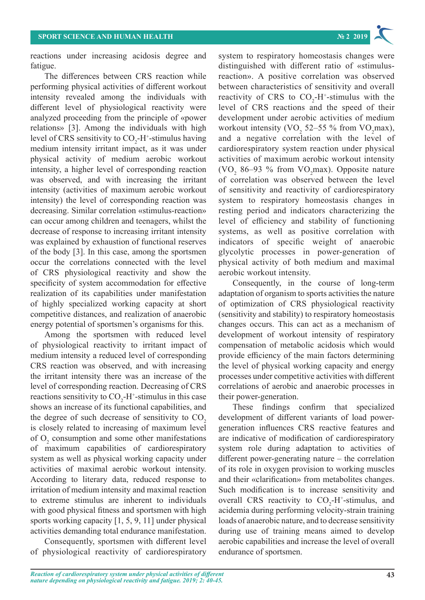reactions under increasing acidosis degree and fatigue.

The differences between CRS reaction while performing physical activities of different workout intensity revealed among the individuals with different level of physiological reactivity were analyzed proceeding from the principle of «power relations» [3]. Among the individuals with high level of CRS sensitivity to  $CO_2$ -H<sup>+</sup>-stimulus having medium intensity irritant impact, as it was under physical activity of medium aerobic workout intensity, a higher level of corresponding reaction was observed, and with increasing the irritant intensity (activities of maximum aerobic workout intensity) the level of corresponding reaction was decreasing. Similar correlation «stimulus-reaction» can occur among children and teenagers, whilst the decrease of response to increasing irritant intensity was explained by exhaustion of functional reserves of the body [3]. In this case, among the sportsmen occur the correlations connected with the level of CRS physiological reactivity and show the specificity of system accommodation for effective realization of its capabilities under manifestation of highly specialized working capacity at short competitive distances, and realization of anaerobic energy potential of sportsmen's organisms for this.

Among the sportsmen with reduced level of physiological reactivity to irritant impact of medium intensity a reduced level of corresponding CRS reaction was observed, and with increasing the irritant intensity there was an increase of the level of corresponding reaction. Decreasing of CRS reactions sensitivity to  $CO_2$ -H<sup>+</sup>-stimulus in this case shows an increase of its functional capabilities, and the degree of such decrease of sensitivity to  $CO<sub>2</sub>$ is closely related to increasing of maximum level of  $O_2$  consumption and some other manifestations of maximum capabilities of cardiorespiratory system as well as physical working capacity under activities of maximal aerobic workout intensity. According to literary data, reduced response to irritation of medium intensity and maximal reaction to extreme stimulus are inherent to individuals with good physical fitness and sportsmen with high sports working capacity [1, 5, 9, 11] under physical activities demanding total endurance manifestation.

Consequently, sportsmen with different level of physiological reactivity of cardiorespiratory system to respiratory homeostasis changes were distinguished with different ratio of «stimulusreaction». A positive correlation was observed between characteristics of sensitivity and overall reactivity of CRS to  $CO<sub>2</sub>-H<sup>+</sup>-stimulus$  with the level of CRS reactions and the speed of their development under aerobic activities of medium workout intensity (VO<sub>2</sub> 52–55 % from VO<sub>2</sub>max), and a negative correlation with the level of cardiorespiratory system reaction under physical activities of maximum aerobic workout intensity (VO<sub>2</sub> 86–93 % from VO<sub>2</sub>max). Opposite nature of correlation was observed between the level of sensitivity and reactivity of cardiorespiratory system to respiratory homeostasis changes in resting period and indicators characterizing the level of efficiency and stability of functioning systems, as well as positive correlation with indicators of specific weight of anaerobic glycolytic processes in power-generation of physical activity of both medium and maximal aerobic workout intensity.

Consequently, in the course of long-term adaptation of organism to sports activities the nature of optimization of CRS physiological reactivity (sensitivity and stability) to respiratory homeostasis changes occurs. This can act as a mechanism of development of workout intensity of respiratory compensation of metabolic acidosis which would provide efficiency of the main factors determining the level of physical working capacity and energy processes under competitive activities with different correlations of aerobic and anaerobic processes in their power-generation.

These findings confirm that specialized development of different variants of load powergeneration influences CRS reactive features and are indicative of modification of cardiorespiratory system role during adaptation to activities of different power-generating nature – the correlation of its role in oxygen provision to working muscles and their «clarification» from metabolites changes. Such modification is to increase sensitivity and overall CRS reactivity to  $CO<sub>2</sub>-H<sup>+</sup>$ -stimulus, and acidemia during performing velocity-strain training loads of anaerobic nature, and to decrease sensitivity during use of training means aimed to develop aerobic capabilities and increase the level of overall endurance of sportsmen.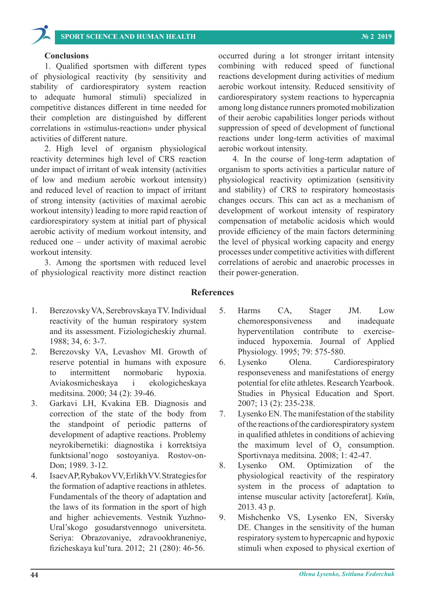# **SPORT SCIENCE AND HUMAN HEALTH № 2 2019**

#### **Conclusions**

1. Qualified sportsmen with different types of physiological reactivity (by sensitivity and stability of cardiorespiratory system reaction to adequate humoral stimuli) specialized in competitive distances different in time needed for their completion are distinguished by different correlations in «stimulus-reaction» under physical activities of different nature.

2. High level of organism physiological reactivity determines high level of CRS reaction under impact of irritant of weak intensity (activities of low and medium aerobic workout intensity) and reduced level of reaction to impact of irritant of strong intensity (activities of maximal aerobic workout intensity) leading to more rapid reaction of cardiorespiratory system at initial part of physical aerobic activity of medium workout intensity, and reduced one – under activity of maximal aerobic workout intensity.

3. Among the sportsmen with reduced level of physiological reactivity more distinct reaction occurred during a lot stronger irritant intensity combining with reduced speed of functional reactions development during activities of medium aerobic workout intensity. Reduced sensitivity of cardiorespiratory system reactions to hypercapnia among long distance runners promoted mobilization of their aerobic capabilities longer periods without suppression of speed of development of functional reactions under long-term activities of maximal aerobic workout intensity.

4. In the course of long-term adaptation of organism to sports activities a particular nature of physiological reactivity optimization (sensitivity and stability) of CRS to respiratory homeostasis changes occurs. This can act as a mechanism of development of workout intensity of respiratory compensation of metabolic acidosis which would provide efficiency of the main factors determining the level of physical working capacity and energy processes under competitive activities with different correlations of aerobic and anaerobic processes in their power-generation.

### **References**

- 1. Berezovsky VA, Serebrovskaya TV. Individual reactivity of the human respiratory system and its assessment. Fiziologicheskiy zhurnal. 1988; 34, 6: 3-7.
- 2. Berezovsky VA, Levashov MI. Growth of reserve potential in humans with exposure to intermittent normobaric hypoxia. Aviakosmicheskaya i ekologicheskaya meditsina. 2000; 34 (2): 39-46.
- 3. Garkavi LH, Kvakina EB. Diagnosis and correction of the state of the body from the standpoint of periodic patterns of development of adaptive reactions. Problemy neyrokibernetiki: diagnostika i korrektsiya funktsional'nogo sostoyaniya. Rostov-on-Don; 1989. 3-12.
- 4. Isaev AP, Rybakov VV, Erlikh VV. Strategies for the formation of adaptive reactions in athletes. Fundamentals of the theory of adaptation and the laws of its formation in the sport of high and higher achievements. Vestnik Yuzhno-Ural'skogo gosudarstvennogo universiteta. Seriya: Obrazovaniye, zdravookhraneniye, fizicheskaya kul'tura. 2012; 21 (280): 46-56.
- 5. Harms CA, Stager JM. Low chemoresponsiveness and inadequate hyperventilation contribute to exerciseinduced hypoxemia. Journal of Applied Physiology. 1995; 79: 575-580.
- 6. Lysenko Olena. Cardiorespiratory responseveness and manifestations of energy potential for elite athletes. Research Yearbook. Studies in Physical Education and Sport. 2007; 13 (2): 235-238.
- 7. Lysenko EN. The manifestation of the stability of the reactions of the cardiorespiratory system in qualified athletes in conditions of achieving the maximum level of  $O_2$  consumption. Sportivnaya meditsina. 2008; 1: 42-47.
- 8. Lysenko OM. Optimization of the physiological reactivity of the respiratory system in the process of adaptation to intense muscular activity [actoreferat]. Київ, 2013. 43 p.
- 9. Mishchenko VS, Lysenko EN, Siversky DE. Changes in the sensitivity of the human respiratory system to hypercapnic and hypoxic stimuli when exposed to physical exertion of